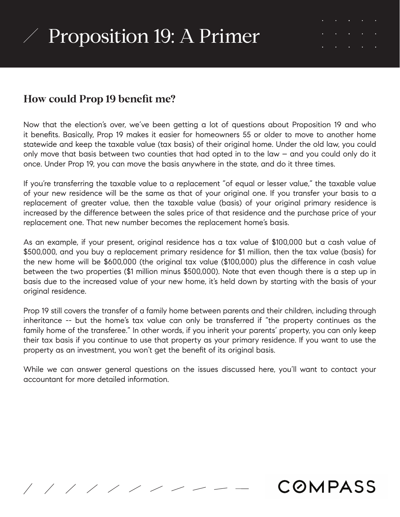**COMPASS** 

#### **How could Prop 19 benefit me?**

 $11111$ 

Now that the election's over, we've been getting a lot of questions about Proposition 19 and who it benefits. Basically, Prop 19 makes it easier for homeowners 55 or older to move to another home statewide and keep the taxable value (tax basis) of their original home. Under the old law, you could only move that basis between two counties that had opted in to the law – and you could only do it once. Under Prop 19, you can move the basis anywhere in the state, and do it three times.

If you're transferring the taxable value to a replacement "of equal or lesser value," the taxable value of your new residence will be the same as that of your original one. If you transfer your basis to a replacement of greater value, then the taxable value (basis) of your original primary residence is increased by the difference between the sales price of that residence and the purchase price of your replacement one. That new number becomes the replacement home's basis.

As an example, if your present, original residence has a tax value of \$100,000 but a cash value of \$500,000, and you buy a replacement primary residence for \$1 million, then the tax value (basis) for the new home will be \$600,000 (the original tax value (\$100,000) plus the difference in cash value between the two properties (\$1 million minus \$500,000). Note that even though there is a step up in basis due to the increased value of your new home, it's held down by starting with the basis of your original residence.

Prop 19 still covers the transfer of a family home between parents and their children, including through inheritance -- but the home's tax value can only be transferred if "the property continues as the family home of the transferee." In other words, if you inherit your parents' property, you can only keep their tax basis if you continue to use that property as your primary residence. If you want to use the property as an investment, you won't get the benefit of its original basis.

While we can answer general questions on the issues discussed here, you'll want to contact your accountant for more detailed information.